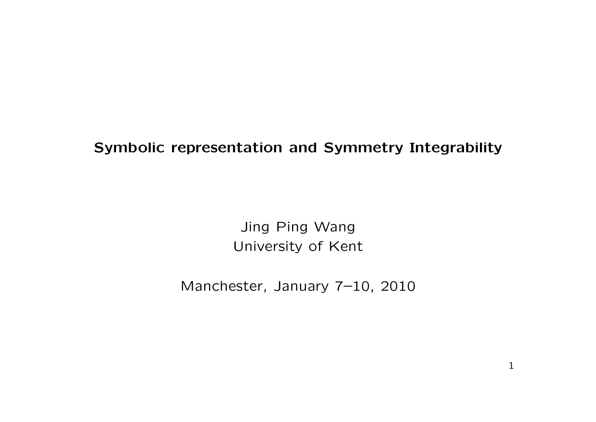## Symbolic representation and Symmetry Integrability

Jing Ping Wang University of Kent

Manchester, January 7–10, 2010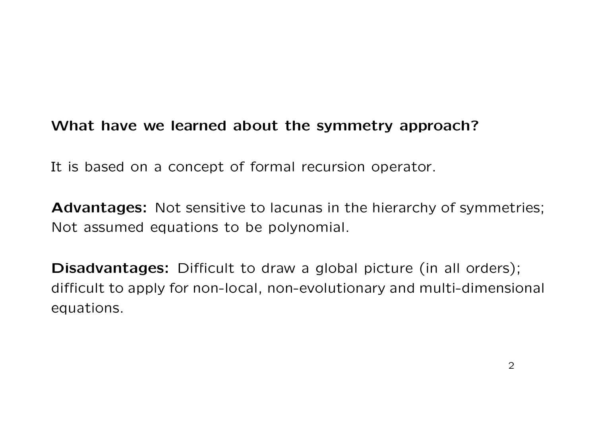# What have we learned about the symmetry approach?

It is based on a concept of formal recursion operator.

Advantages: Not sensitive to lacunas in the hierarchy of symmetries; Not assumed equations to be polynomial.

Disadvantages: Difficult to draw a global picture (in all orders); difficult to apply for non-local, non-evolutionary and multi-dimensional equations.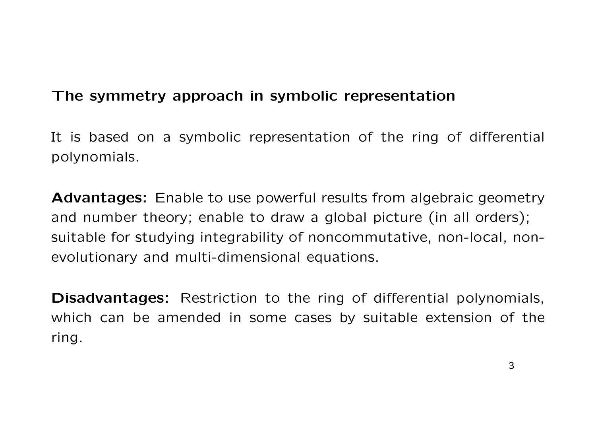# The symmetry approach in symbolic representation

It is based on a symbolic representation of the ring of differential polynomials.

Advantages: Enable to use powerful results from algebraic geometry and number theory; enable to draw a global picture (in all orders); suitable for studying integrability of noncommutative, non-local, nonevolutionary and multi-dimensional equations.

Disadvantages: Restriction to the ring of differential polynomials, which can be amended in some cases by suitable extension of the ring.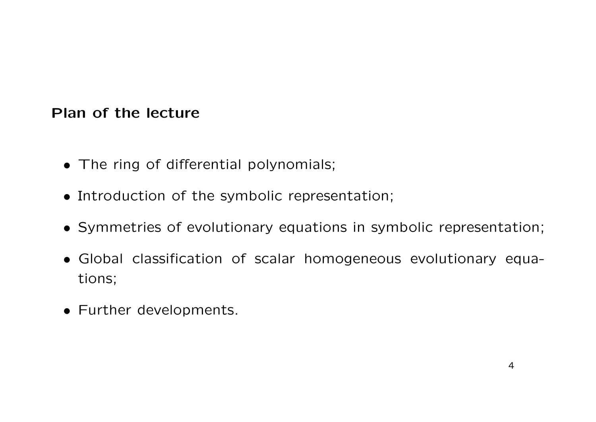## Plan of the lecture

- The ring of differential polynomials;
- Introduction of the symbolic representation;
- Symmetries of evolutionary equations in symbolic representation;
- Global classification of scalar homogeneous evolutionary equations;
- Further developments.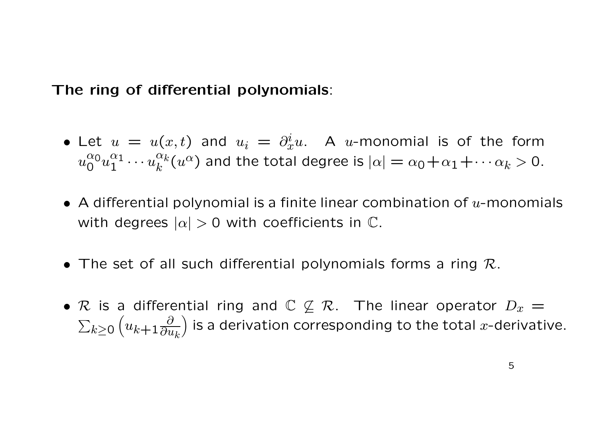The ring of differential polynomials:

- Let  $u = u(x,t)$  and  $u_i = \partial_x^i u$ . A u-monomial is of the form  $u_0^{\alpha_0}$  $_{0}^{\alpha_{0}}u_{1}^{\alpha_{1}}$  $\frac{\alpha_1}{1} \cdots u_k^{\alpha_k}$  $\frac{\alpha_k}{k}(u^\alpha)$  and the total degree is  $|\alpha|=\alpha_0+\alpha_1+\cdots \alpha_k>0.$
- A differential polynomial is a finite linear combination of  $u$ -monomials with degrees  $|\alpha| > 0$  with coefficients in  $\mathbb{C}$ .
- The set of all such differential polynomials forms a ring  $\mathcal{R}$ .
- R is a differential ring and  $\mathbb{C} \not\subseteq \mathcal{R}$ . The linear operator  $D_x =$  $\sum_{k\geq 0}$  $\left(u_{k+1}\frac{\partial}{\partial u}\right)$  $\overline{\partial u_k}$ ) is a derivation corresponding to the total x-derivative.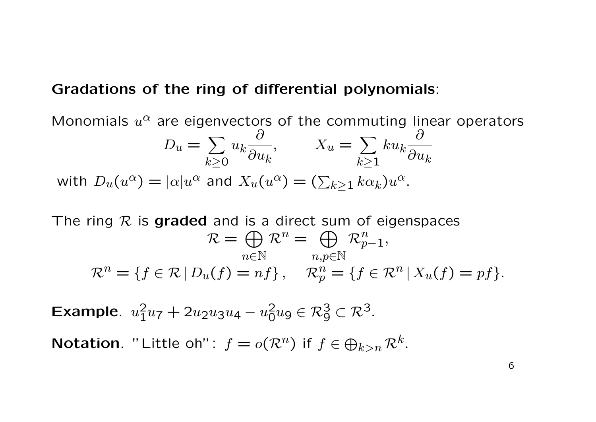### Gradations of the ring of differential polynomials:

Monomials  $u^{\alpha}$  are eigenvectors of the commuting linear operators  $D_u = \sum$  $k\succeq0$  $u_k$  $\partial$  $\partial u_k$  $, \qquad X_u = \sum$  $k\succeq1$  $ku_k$  $\partial$  $\partial u_k$ with  $D_u(u^\alpha)=|\alpha|u^\alpha$  and  $X_u(u^\alpha)=(\sum_{k\geq 1}k\alpha_k)u^\alpha$ .

The ring  $R$  is graded and is a direct sum of eigenspaces  $\mathcal{R} = \bigoplus \mathcal{R}^n = \bigoplus \mathcal{R}_{p-1}^n$  $n \in \mathbb{N}$   $n, p \in \mathbb{N}$  $\mathcal{R}^n = \{f \in \mathcal{R} \mid D_u(f) = nf\}, \quad \mathcal{R}_p^n = \{f \in \mathcal{R}^n \mid X_u(f) = pf\}.$ 

Example.  $u_1^2$  $u_1^2u_7 + 2u_2u_3u_4 - u_0^2$  $\frac{2}{0}u_9 \in \mathcal{R}_9^3 \subset \mathcal{R}^3.$ 

**Notation**. "Little oh":  $f = o(\mathcal{R}^n)$  if  $f \in \bigoplus_{k>n} \mathcal{R}^k$ .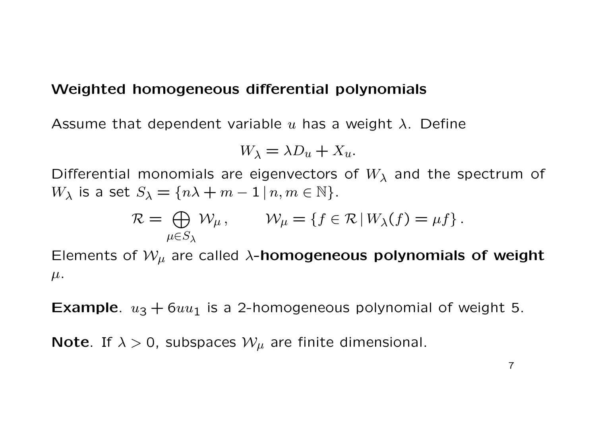### Weighted homogeneous differential polynomials

Assume that dependent variable u has a weight  $\lambda$ . Define

$$
W_{\lambda} = \lambda D_u + X_u.
$$

Differential monomials are eigenvectors of  $W_{\lambda}$  and the spectrum of  $W_{\lambda}$  is a set  $S_{\lambda} = \{n\lambda + m - 1 | n, m \in \mathbb{N}\}.$ 

$$
\mathcal{R} = \bigoplus_{\mu \in S_{\lambda}} \mathcal{W}_{\mu}, \qquad \mathcal{W}_{\mu} = \{ f \in \mathcal{R} \mid W_{\lambda}(f) = \mu f \}.
$$

Elements of  $W_{\mu}$  are called  $\lambda$ -homogeneous polynomials of weight  $\mu$ .

**Example.**  $u_3 + 6uu_1$  is a 2-homogeneous polynomial of weight 5.

**Note**. If  $\lambda > 0$ , subspaces  $\mathcal{W}_{\mu}$  are finite dimensional.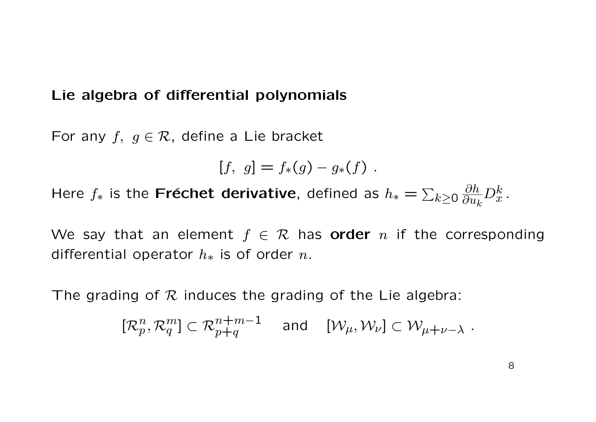### Lie algebra of differential polynomials

For any  $f, g \in \mathcal{R}$ , define a Lie bracket

$$
[f, g] = f_*(g) - g_*(f) .
$$

Here  $f_*$  is the Fréchet derivative, defined as  $h_* = \sum_{k \geq 0}$  $\partial h$  $\overline{\partial u_k}$  $D_x^k$  .

We say that an element  $f \in \mathcal{R}$  has **order** n if the corresponding differential operator  $h_*$  is of order n.

The grading of  $R$  induces the grading of the Lie algebra:

$$
[\mathcal{R}_p^n, \mathcal{R}_q^m] \subset \mathcal{R}_{p+q}^{n+m-1} \quad \text{and} \quad [\mathcal{W}_{\mu}, \mathcal{W}_{\nu}] \subset \mathcal{W}_{\mu+\nu-\lambda} .
$$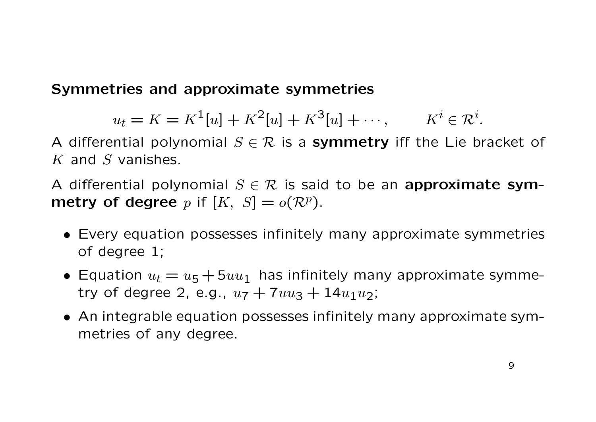# Symmetries and approximate symmetries

$$
u_t = K = K^1[u] + K^2[u] + K^3[u] + \cdots
$$
,  $K^i \in \mathbb{R}^i$ .

A differential polynomial  $S \in \mathcal{R}$  is a symmetry iff the Lie bracket of  $K$  and  $S$  vanishes.

A differential polynomial  $S \in \mathcal{R}$  is said to be an approximate sym**metry of degree** p if  $[K, S] = o(\mathcal{R}^p)$ .

- Every equation possesses infinitely many approximate symmetries of degree 1;
- Equation  $u_t = u_5 + 5uu_1$  has infinitely many approximate symmetry of degree 2, e.g.,  $u_7 + 7uu_3 + 14u_1u_2$ ;
- An integrable equation possesses infinitely many approximate symmetries of any degree.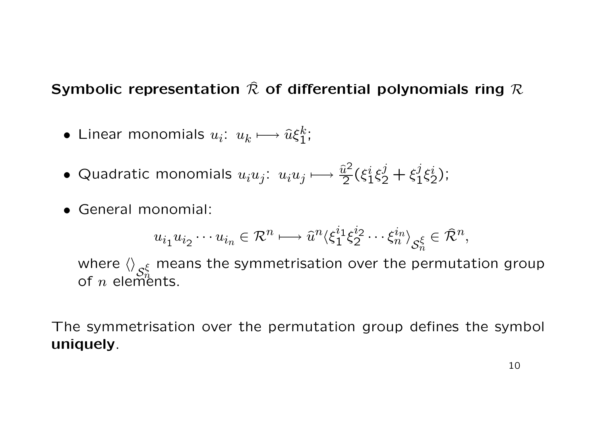# Symbolic representation  $\hat{\mathcal{R}}$  of differential polynomials ring  $\mathcal{R}$

- $\bullet$  Linear monomials  $u_i\colon\thinspace u_k\longmapsto\widehat u\xi_1^k$  $\frac{k}{1}$ ;
- Quadratic monomials  $u_iu_j: u_iu_j \longmapsto \frac{\widehat{u}^2}{2}$  $\frac{\widetilde{\imath}^2}{2}(\xi_1^i$  $i_1^i \xi_2^j + \xi_1^j$  $\frac{j}{1}\xi_2^i$  $\frac{\imath}{2}$ );
- General monomial:

$$
u_{i_1}u_{i_2}\cdots u_{i_n}\in \mathcal{R}^n\longmapsto \hat{u}^n\langle \xi_1^{i_1}\xi_2^{i_2}\cdots \xi_n^{i_n}\rangle_{\mathcal{S}_n^{\xi}}\in \hat{\mathcal{R}}^n,
$$

where  $\left\langle {}\right\rangle _{\mathcal{S}}$  $_{\xi}$  means the symmetrisation over the permutation group of  $n$  elements.

The symmetrisation over the permutation group defines the symbol uniquely.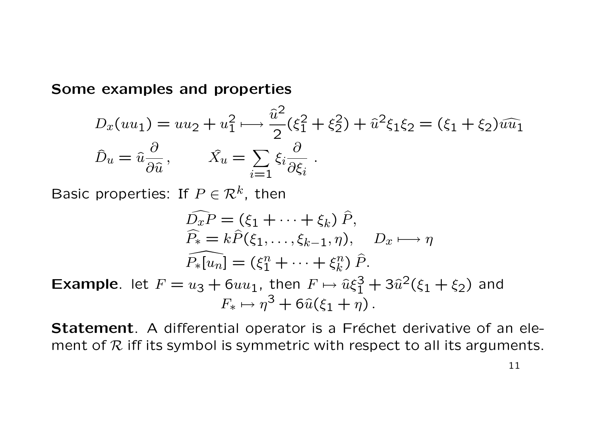#### Some examples and properties

$$
D_x(uu_1) = uu_2 + u_1^2 \longrightarrow \frac{\hat{u}^2}{2} (\xi_1^2 + \xi_2^2) + \hat{u}^2 \xi_1 \xi_2 = (\xi_1 + \xi_2) \hat{u} \hat{u}_1
$$
  

$$
\hat{D}_u = \hat{u} \frac{\partial}{\partial \hat{u}}, \qquad \hat{X}_u = \sum_{i=1} \xi_i \frac{\partial}{\partial \xi_i}.
$$

Basic properties: If  $P \in \mathcal{R}^k$ , then

$$
\widehat{D_x P} = (\xi_1 + \dots + \xi_k) \widehat{P},
$$
  
\n
$$
\widehat{P}_* = k \widehat{P}(\xi_1, \dots, \xi_{k-1}, \eta), \quad D_x \longmapsto \eta
$$
  
\n
$$
\widehat{P_*[u_n]} = (\xi_1^n + \dots + \xi_k^n) \widehat{P}.
$$

**Example**. let  $F = u_3 + 6uu_1$ , then  $F \mapsto \hat{u}\xi_1^3 + 3\hat{u}^2(\xi_1 + \xi_2)$  and  $F_* \mapsto \eta^3 + 6\hat{u}(\xi_1 + \bar{\eta}).$ 

Statement. A differential operator is a Fréchet derivative of an element of  $R$  iff its symbol is symmetric with respect to all its arguments.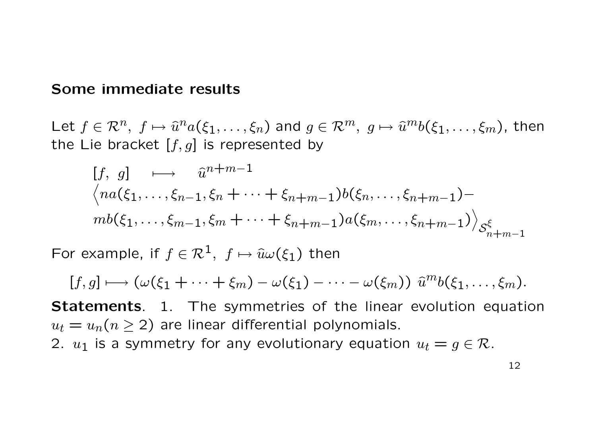### Some immediate results

Let  $f \in \mathcal{R}^n$ ,  $f \mapsto \hat{u}^n a(\xi_1,\ldots,\xi_n)$  and  $g \in \mathcal{R}^m$ ,  $g \mapsto \hat{u}^m b(\xi_1,\ldots,\xi_m)$ , then the Lie bracket  $[f, g]$  is represented by

$$
[f, g] \longrightarrow \hat{u}^{n+m-1}
$$
  

$$
\langle na(\xi_1, ..., \xi_{n-1}, \xi_n + \dots + \xi_{n+m-1})b(\xi_n, ..., \xi_{n+m-1}) -
$$
  

$$
mb(\xi_1, ..., \xi_{m-1}, \xi_m + \dots + \xi_{n+m-1})a(\xi_m, ..., \xi_{n+m-1})\rangle_{S_{n+m-1}^{\xi}}
$$

For example, if  $f \in \mathcal{R}^1$ ,  $f \mapsto \hat{u}\omega(\xi_1)$  then

$$
[f,g] \longmapsto (\omega(\xi_1+\cdots+\xi_m)-\omega(\xi_1)-\cdots-\omega(\xi_m)) \widehat{u}^m b(\xi_1,\ldots,\xi_m).
$$

Statements. 1. The symmetries of the linear evolution equation  $u_t = u_n(n \geq 2)$  are linear differential polynomials. 2.  $u_1$  is a symmetry for any evolutionary equation  $u_t = g \in \mathcal{R}$ .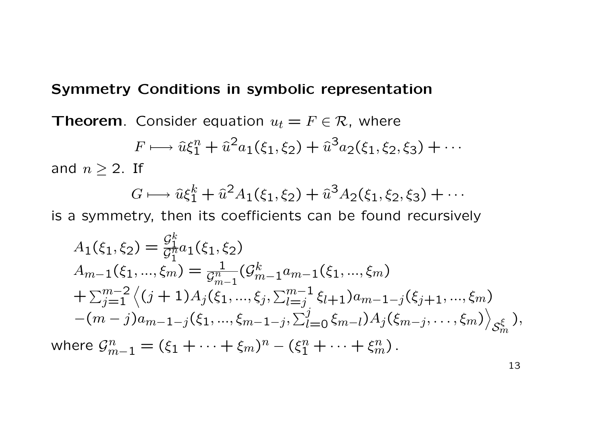### Symmetry Conditions in symbolic representation

**Theorem.** Consider equation  $u_t = F \in \mathcal{R}$ , where

$$
F \longmapsto \hat{u}\xi_1^n + \hat{u}^2 a_1(\xi_1, \xi_2) + \hat{u}^3 a_2(\xi_1, \xi_2, \xi_3) + \cdots
$$

and  $n \geq 2$ . If

$$
G \longmapsto \hat{u}\xi_1^k + \hat{u}^2 A_1(\xi_1, \xi_2) + \hat{u}^3 A_2(\xi_1, \xi_2, \xi_3) + \cdots
$$

is a symmetry, then its coefficients can be found recursively

$$
A_{1}(\xi_{1},\xi_{2}) = \frac{\mathcal{G}_{1}^{k}}{\mathcal{G}_{1}^{n}} a_{1}(\xi_{1},\xi_{2})
$$
  
\n
$$
A_{m-1}(\xi_{1},...,\xi_{m}) = \frac{1}{\mathcal{G}_{m-1}^{n}} (\mathcal{G}_{m-1}^{k} a_{m-1}(\xi_{1},...,\xi_{m})
$$
  
\n
$$
+ \sum_{j=1}^{m-2} \langle (j+1) A_{j}(\xi_{1},...,\xi_{j}, \sum_{l=j}^{m-1} \xi_{l+1}) a_{m-1-j}(\xi_{j+1},...,\xi_{m})
$$
  
\n
$$
-(m-j)a_{m-1-j}(\xi_{1},...,\xi_{m-1-j}, \sum_{l=0}^{j} \xi_{m-l}) A_{j}(\xi_{m-j},...,\xi_{m}) \rangle_{\mathcal{S}_{m}^{\xi}}),
$$
  
\nwhere  $\mathcal{G}_{m-1}^{n} = (\xi_{1} + ... + \xi_{m})^{n} - (\xi_{1}^{n} + ... + \xi_{m}^{n}).$ 

13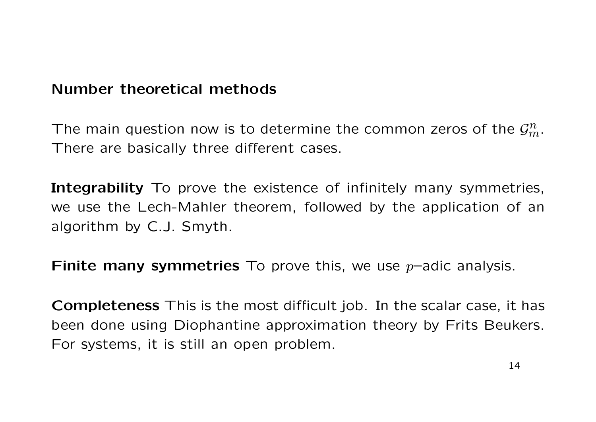### Number theoretical methods

The main question now is to determine the common zeros of the  $\mathcal{G}_m^n$ . There are basically three different cases.

Integrability To prove the existence of infinitely many symmetries, we use the Lech-Mahler theorem, followed by the application of an algorithm by C.J. Smyth.

**Finite many symmetries** To prove this, we use  $p$ -adic analysis.

Completeness This is the most difficult job. In the scalar case, it has been done using Diophantine approximation theory by Frits Beukers. For systems, it is still an open problem.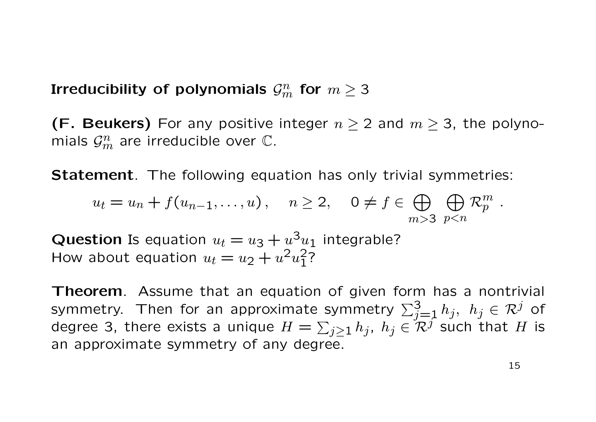Irreducibility of polynomials  $\mathcal{G}^n_m$  for  $m\geq 3$ 

(F. Beukers) For any positive integer  $n \geq 2$  and  $m \geq 3$ , the polynomials  $\mathcal{G}_m^n$  are irreducible over  $\mathbb{C}.$ 

**Statement**. The following equation has only trivial symmetries:

$$
u_t = u_n + f(u_{n-1}, \dots, u), \quad n \ge 2, \quad 0 \ne f \in \bigoplus_{m > 3} \bigoplus_{p < n} \mathcal{R}_p^m.
$$

**Question** Is equation  $u_t = u_3 + u^3 u_1$  integrable? How about equation  $u_t = u_2 + u^2 u_1^2$  $^{2}_{1}$ ?

**Theorem.** Assume that an equation of given form has a nontrivial symmetry. Then for an approximate symmetry  $\sum_{j=1}^3 h_j,\,\,h_j\in\mathcal{R}^j$  of degree 3, there exists a unique  $H=\sum_{j\geq 1}h_j,~h_j\in \mathcal{R}^j$  such that  $H$  is an approximate symmetry of any degree.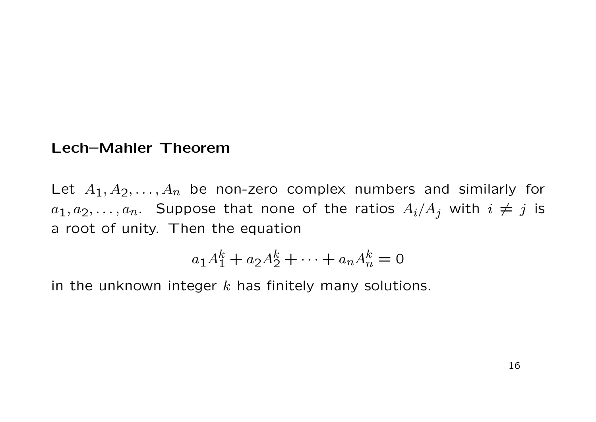### Lech–Mahler Theorem

Let  $A_1, A_2, \ldots, A_n$  be non-zero complex numbers and similarly for  $a_1, a_2, \ldots, a_n$ . Suppose that none of the ratios  $A_i/A_j$  with  $i \neq j$  is a root of unity. Then the equation

$$
a_1 A_1^k + a_2 A_2^k + \dots + a_n A_n^k = 0
$$

in the unknown integer  $k$  has finitely many solutions.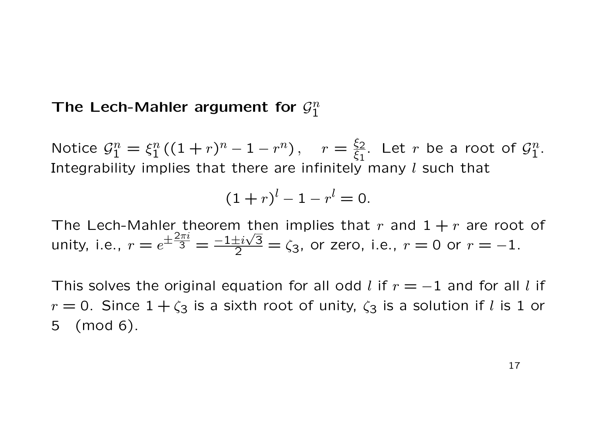#### The Lech-Mahler argument for  $\mathcal{G}_1^n$ 1

Notice  $\mathcal{G}_1^n = \xi_1^n$  $\frac{n}{1}((1+r)^n-1-r^n), \quad r=\frac{\xi_2}{\xi_1}$  $\overline{\xi_1}$ . Let r be a root of  $\mathcal{G}_1^n$  $\frac{n}{1}$ . Integrability implies that there are infinitely many  $l$  such that

$$
(1+r)^{l}-1-r^{l}=0.
$$

The Lech-Mahler theorem then implies that r and  $1+r$  are root of unity, i.e.,  $r = e$  $\pm \frac{2\pi i}{3} = \frac{-1 \pm i \sqrt{3}}{2} = \zeta_3$ , or zero, i.e.,  $r = 0$  or  $r = -1$ .

This solves the original equation for all odd l if  $r = -1$  and for all l if  $r = 0$ . Since  $1 + \zeta_3$  is a sixth root of unity,  $\zeta_3$  is a solution if l is 1 or 5 (mod 6).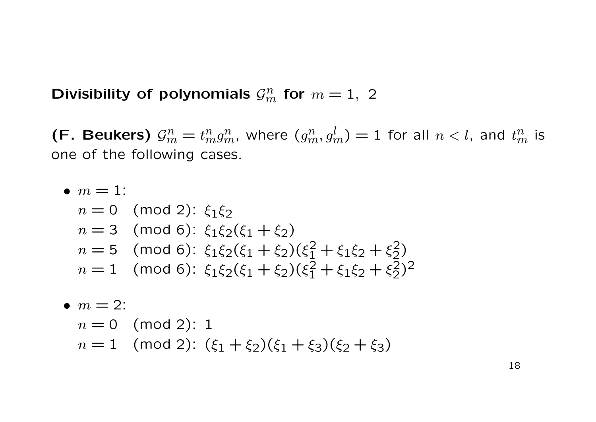Divisibility of polynomials  $\mathcal{G}_m^n$  for  $m=1, 2$ 

(F. Beukers)  $\mathcal{G}_m^n$  $\mathbf{f}_{m}^{n}=t_{m}^{n}g_{m}^{n},$  where  $(g_{m}^{n},g_{m}^{l})=1$  for all  $n < l,$  and  $t_{m}^{n}$  is one of the following cases.

• 
$$
m = 1
$$
:  
\n $n = 0 \pmod{2}$ :  $\xi_1 \xi_2$   
\n $n = 3 \pmod{6}$ :  $\xi_1 \xi_2 (\xi_1 + \xi_2)$   
\n $n = 5 \pmod{6}$ :  $\xi_1 \xi_2 (\xi_1 + \xi_2) (\xi_1^2 + \xi_1 \xi_2 + \xi_2^2)$   
\n $n = 1 \pmod{6}$ :  $\xi_1 \xi_2 (\xi_1 + \xi_2) (\xi_1^2 + \xi_1 \xi_2 + \xi_2^2)^2$ 

• 
$$
m = 2
$$
:  
\n $n = 0$  (mod 2): 1  
\n $n = 1$  (mod 2):  $(\xi_1 + \xi_2)(\xi_1 + \xi_3)(\xi_2 + \xi_3)$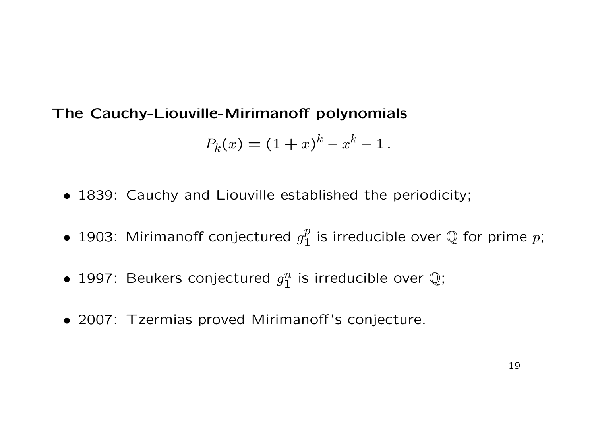# The Cauchy-Liouville-Mirimanoff polynomials

$$
P_k(x) = (1+x)^k - x^k - 1.
$$

- 1839: Cauchy and Liouville established the periodicity;
- 1903: Mirimanoff conjectured  $g_1^p$  $\frac{p}{1}$  is irreducible over  $\mathbb Q$  for prime  $p;$
- 1997: Beukers conjectured  $g_1^n$  $\frac{n}{1}$  is irreducible over  $\mathbb{Q}$ ;
- 2007: Tzermias proved Mirimanoff 's conjecture.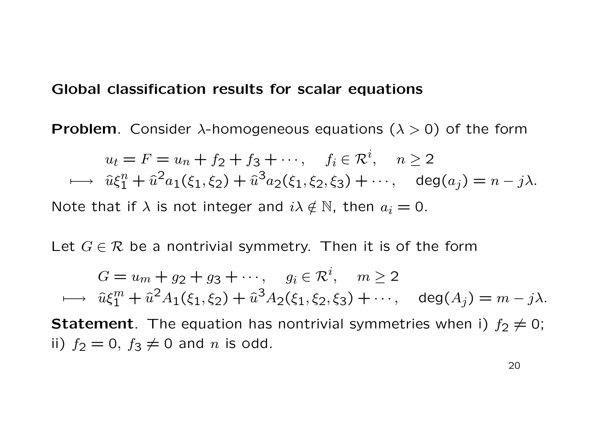#### Global classification results for scalar equations

**Problem.** Consider  $\lambda$ -homogeneous equations ( $\lambda > 0$ ) of the form

$$
u_t = F = u_n + f_2 + f_3 + \cdots, \quad f_i \in \mathcal{R}^i, \quad n \ge 2
$$
  
\n
$$
\longmapsto \hat{u}\xi_1^n + \hat{u}^2 a_1(\xi_1, \xi_2) + \hat{u}^3 a_2(\xi_1, \xi_2, \xi_3) + \cdots, \quad \deg(a_j) = n - j\lambda.
$$
  
\nNote that if  $\lambda$  is not integer and  $i\lambda \notin \mathbb{N}$ , then  $a_i = 0$ .

Let  $G \in \mathcal{R}$  be a nontrivial symmetry. Then it is of the form

 $G = u_m + g_2 + g_3 + \cdots, \quad g_i \in \mathcal{R}^i, \quad m \ge 2$  $\longmapsto \ \widehat u \xi_1^m + \widehat u^2 A_1(\xi_1,\xi_2) + \widehat u^3 A_2(\xi_1,\xi_2,\xi_3) + \cdots, \quad \deg(A_j) = m - j\lambda.$ **Statement**. The equation has nontrivial symmetries when i)  $f_2 \neq 0$ ; ii)  $f_2 = 0$ ,  $f_3 \neq 0$  and n is odd.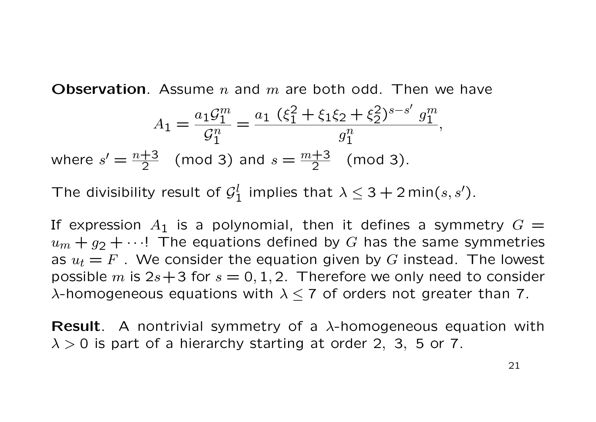**Observation**. Assume n and m are both odd. Then we have

$$
A_1 = \frac{a_1 \mathcal{G}_1^m}{\mathcal{G}_1^n} = \frac{a_1 (\xi_1^2 + \xi_1 \xi_2 + \xi_2^2)^{s-s'} g_1^m}{g_1^n},
$$
  
where  $s' = \frac{n+3}{2}$  (mod 3) and  $s = \frac{m+3}{2}$  (mod 3).

The divisibility result of  $\mathcal{G}^l_1$  $\frac{l}{1}$  implies that  $\lambda \leq 3+2$  min $(s,s').$ 

If expression  $A_1$  is a polynomial, then it defines a symmetry  $G =$  $u_m + g_2 + \cdots$ ! The equations defined by G has the same symmetries as  $u_t = F$ . We consider the equation given by G instead. The lowest possible m is  $2s+3$  for  $s = 0, 1, 2$ . Therefore we only need to consider  $\lambda$ -homogeneous equations with  $\lambda \leq 7$  of orders not greater than 7.

**Result**. A nontrivial symmetry of a  $\lambda$ -homogeneous equation with  $\lambda > 0$  is part of a hierarchy starting at order 2, 3, 5 or 7.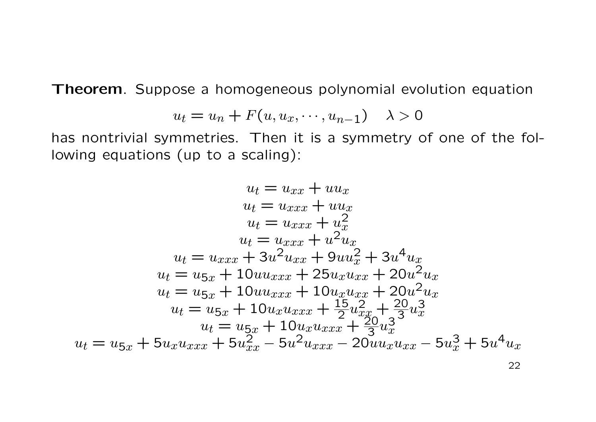Theorem. Suppose a homogeneous polynomial evolution equation

$$
u_t = u_n + F(u, u_x, \cdots, u_{n-1}) \quad \lambda > 0
$$

has nontrivial symmetries. Then it is a symmetry of one of the following equations (up to a scaling):

$$
u_t = u_{xx} + uu_x
$$
  
\n
$$
u_t = u_{xxx} + uu_x
$$
  
\n
$$
u_t = u_{xxx} + u_x^2
$$
  
\n
$$
u_t = u_{xxx} + u^2 u_x
$$
  
\n
$$
u_t = u_{xx} + 3u^2 u_{xx} + 9uu_x^2 + 3u^4 u_x
$$
  
\n
$$
u_t = u_{5x} + 10uu_{xxx} + 25u_x u_{xx} + 20u^2 u_x
$$
  
\n
$$
u_t = u_{5x} + 10u_x u_{xxx} + 10u_x u_{xx} + 20u^2 u_x
$$
  
\n
$$
u_t = u_{5x} + 10u_x u_{xxx} + \frac{15}{2}u_{xx}^2 + \frac{20}{3}u_x^3
$$
  
\n
$$
u_t = u_{5x} + 10u_x u_{xxx} + \frac{20}{3}u_x^3
$$
  
\n
$$
u_t = u_{5x} + 5u_x u_{xxx} + 5u_{xx}^2 - 5u^2 u_{xxx} - 20u u_x u_{xx} - 5u_x^3 + 5u^4 u_x
$$